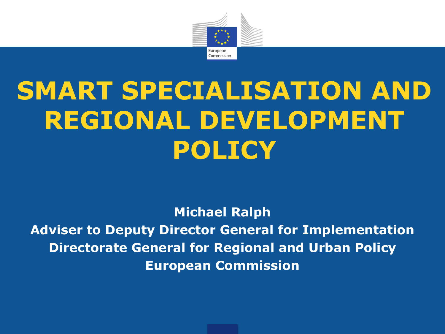

# **SMART SPECIALISATION AND REGIONAL DEVELOPMENT POLICY**

**Michael Ralph Adviser to Deputy Director General for Implementation Directorate General for Regional and Urban Policy European Commission**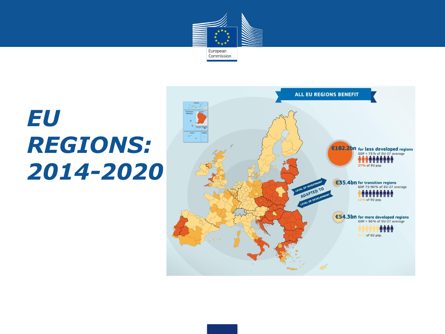

# *EU REGIONS: 2014-2020*

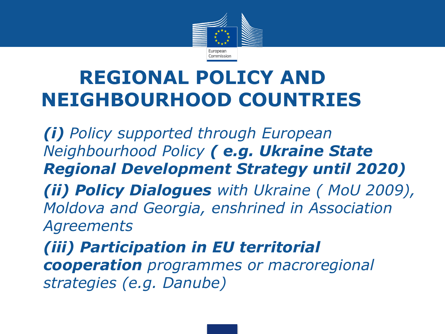

### **REGIONAL POLICY AND NEIGHBOURHOOD COUNTRIES**

• *(i) Policy supported through European Neighbourhood Policy ( e.g. Ukraine State Regional Development Strategy until 2020)* • *(ii) Policy Dialogues with Ukraine ( MoU 2009), Moldova and Georgia, enshrined in Association Agreements* • *(iii) Participation in EU territorial cooperation programmes or macroregional*

*strategies (e.g. Danube)*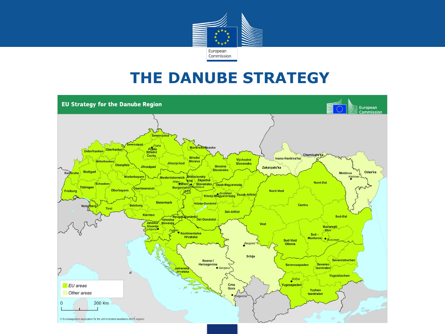

#### **THE DANUBE STRATEGY**

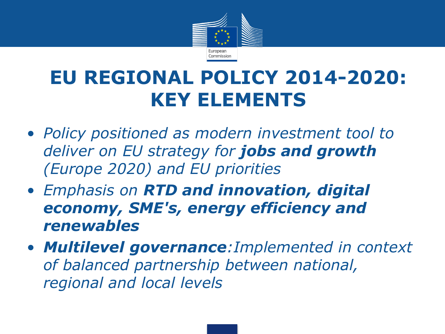

### **EU REGIONAL POLICY 2014-2020: KEY ELEMENTS**

- *Policy positioned as modern investment tool to deliver on EU strategy for jobs and growth (Europe 2020) and EU priorities*
- *Emphasis on RTD and innovation, digital economy, SME's, energy efficiency and renewables*
- *Multilevel governance:Implemented in context of balanced partnership between national, regional and local levels*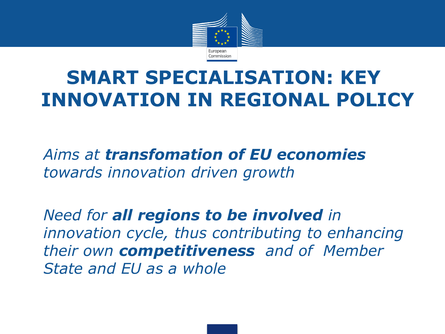

## **SMART SPECIALISATION: KEY INNOVATION IN REGIONAL POLICY**

• *Aims at transfomation of EU economies towards innovation driven growth*

• *Need for all regions to be involved in innovation cycle, thus contributing to enhancing their own competitiveness and of Member State and EU as a whole*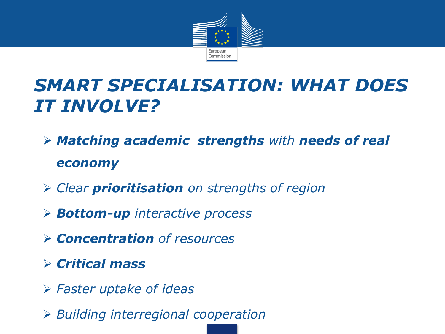

### *SMART SPECIALISATION: WHAT DOES IT INVOLVE?*

- *Matching academic strengths with needs of real economy*
- *Clear prioritisation on strengths of region*
- *Bottom-up interactive process*
- *Concentration of resources*
- *Critical mass*
- *Faster uptake of ideas*
- *Building interregional cooperation*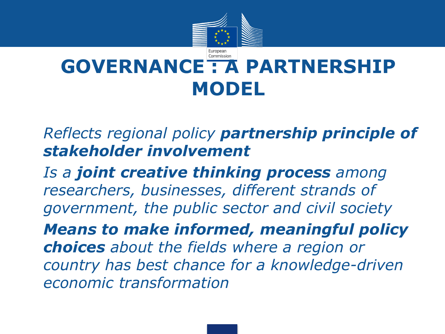

#### Commission **GOVERNANCE : A PARTNERSHIP MODEL**

• *Reflects regional policy partnership principle of stakeholder involvement*

• *Is a joint creative thinking process among researchers, businesses, different strands of government, the public sector and civil society*

• *Means to make informed, meaningful policy choices about the fields where a region or country has best chance for a knowledge-driven economic transformation*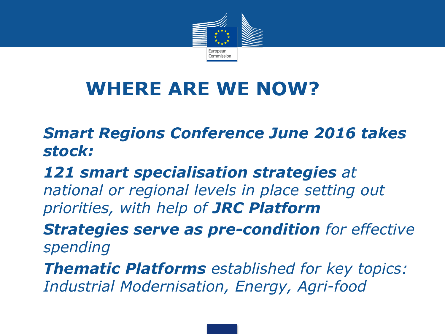

## **WHERE ARE WE NOW?**

#### • *Smart Regions Conference June 2016 takes stock:*

#### • *121 smart specialisation strategies at national or regional levels in place setting out priorities, with help of JRC Platform*

• *Strategies serve as pre-condition for effective spending*

• *Thematic Platforms established for key topics: Industrial Modernisation, Energy, Agri-food*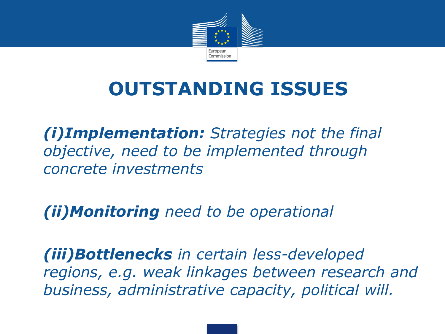

## **OUTSTANDING ISSUES**

• *(i)Implementation: Strategies not the final objective, need to be implemented through concrete investments*

• *(ii)Monitoring need to be operational*

• *(iii)Bottlenecks in certain less-developed regions, e.g. weak linkages between research and business, administrative capacity, political will.*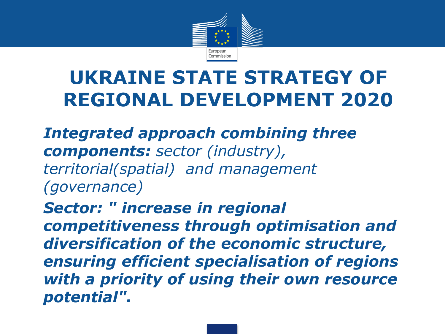

## **UKRAINE STATE STRATEGY OF REGIONAL DEVELOPMENT 2020**

• *Integrated approach combining three components: sector (industry), territorial(spatial) and management (governance)*

• *Sector: " increase in regional competitiveness through optimisation and diversification of the economic structure, ensuring efficient specialisation of regions with a priority of using their own resource potential".*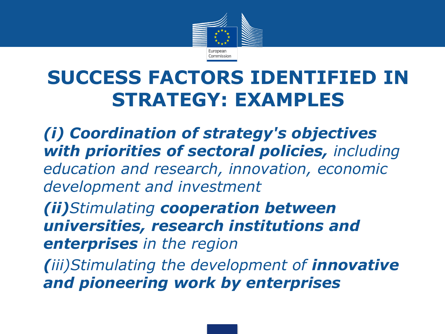

## **SUCCESS FACTORS IDENTIFIED IN STRATEGY: EXAMPLES**

• *(i) Coordination of strategy's objectives with priorities of sectoral policies, including education and research, innovation, economic development and investment*

• *(ii)Stimulating cooperation between universities, research institutions and enterprises in the region*

• *(iii)Stimulating the development of innovative and pioneering work by enterprises*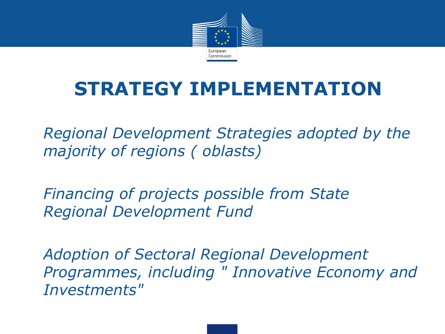

## **STRATEGY IMPLEMENTATION**

• *Regional Development Strategies adopted by the majority of regions ( oblasts)*

• *Financing of projects possible from State Regional Development Fund*

• *Adoption of Sectoral Regional Development Programmes, including " Innovative Economy and Investments"*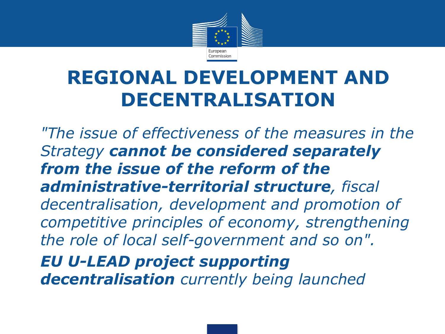

### **REGIONAL DEVELOPMENT AND DECENTRALISATION**

• *"The issue of effectiveness of the measures in the Strategy cannot be considered separately from the issue of the reform of the administrative-territorial structure, fiscal decentralisation, development and promotion of competitive principles of economy, strengthening the role of local self-government and so on".* • *EU U-LEAD project supporting*

*decentralisation currently being launched*